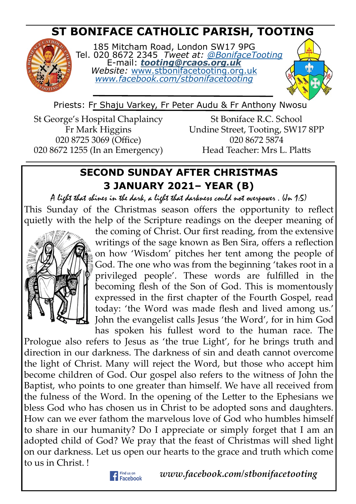# **ST BONIFACE CATHOLIC PARISH, TOOTING**



185 Mitcham Road, London SW17 9PG Tel. 020 8672 2345 *Tweet at: [@BonifaceTooting](http://twitter.com/bonifacetooting)* E-mail: *tooting@rcaos.org.uk Website:* [www.stbonifacetooting.org.uk](http://www.stbonifacetooting.org.uk) *[www.facebook.com/stbonifacetooting](http://www.facebook.com/stbonifacetooting)*



ī Priests: Fr Shaju Varkey, Fr Peter Audu & Fr Anthony Nwosu

St George's Hospital Chaplaincy Fr Mark Higgins 020 8725 3069 (Office) 020 8672 1255 (In an Emergency)

St Boniface R.C. School Undine Street, Tooting, SW17 8PP 020 8672 5874 Head Teacher: Mrs L. Platts

### **SECOND SUNDAY AFTER CHRISTMAS 3 JANUARY 2021– YEAR (B)**

A light that shines in the dark, a light that darkness could not overpower . (Jn 1:5) This Sunday of the Christmas season offers the opportunity to reflect quietly with the help of the Scripture readings on the deeper meaning of



the coming of Christ. Our first reading, from the extensive writings of the sage known as Ben Sira, offers a reflection on how 'Wisdom' pitches her tent among the people of God. The one who was from the beginning 'takes root in a privileged people'. These words are fulfilled in the becoming flesh of the Son of God. This is momentously expressed in the first chapter of the Fourth Gospel, read today: 'the Word was made flesh and lived among us.' John the evangelist calls Jesus 'the Word', for in him God has spoken his fullest word to the human race. The

Prologue also refers to Jesus as 'the true Light', for he brings truth and direction in our darkness. The darkness of sin and death cannot overcome the light of Christ. Many will reject the Word, but those who accept him become children of God. Our gospel also refers to the witness of John the Baptist, who points to one greater than himself. We have all received from the fulness of the Word. In the opening of the Letter to the Ephesians we bless God who has chosen us in Christ to be adopted sons and daughters. How can we ever fathom the marvelous love of God who humbles himself to share in our humanity? Do I appreciate or simply forget that I am an adopted child of God? We pray that the feast of Christmas will shed light on our darkness. Let us open our hearts to the grace and truth which come to us in Christ. !



*www.facebook.com/stbonifacetooting*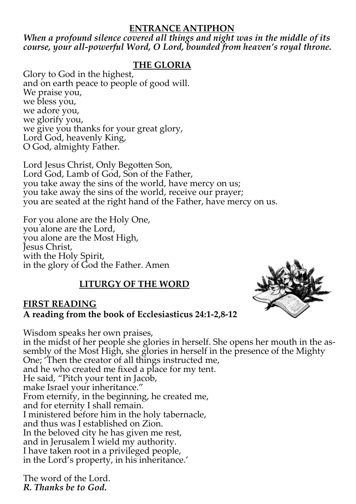#### **ENTRANCE ANTIPHON**

*When a profound silence covered all things and night was in the middle of its course, your all-powerful Word, O Lord, bounded from heaven's royal throne.*

#### **THE GLORIA**

Glory to God in the highest, and on earth peace to people of good will. We praise you, we bless you, we adore you, we glorify you, we give you thanks for your great glory, Lord God, heavenly King, O God, almighty Father.

Lord Jesus Christ, Only Begotten Son, Lord God, Lamb of God, Son of the Father, you take away the sins of the world, have mercy on us; you take away the sins of the world, receive our prayer; you are seated at the right hand of the Father, have mercy on us.

For you alone are the Holy One, you alone are the Lord, you alone are the Most High, Jesus Christ, with the Holy Spirit, in the glory of God the Father. Amen

### **LITURGY OF THE WORD**

#### **FIRST READING A reading from the book of Ecclesiasticus 24:1-2,8-12**



Wisdom speaks her own praises, in the midst of her people she glories in herself. She opens her mouth in the assembly of the Most High, she glories in herself in the presence of the Mighty One; 'Then the creator of all things instructed me, and he who created me fixed a place for my tent. He said, "Pitch your tent in Jacob, make Israel your inheritance." From eternity, in the beginning, he created me, and for eternity I shall remain. I ministered before him in the holy tabernacle, and thus was I established on Zion. In the beloved city he has given me rest, and in Jerusalem I wield my authority. I have taken root in a privileged people, in the Lord's property, in his inheritance.'

The word of the Lord. *R. Thanks be to God.*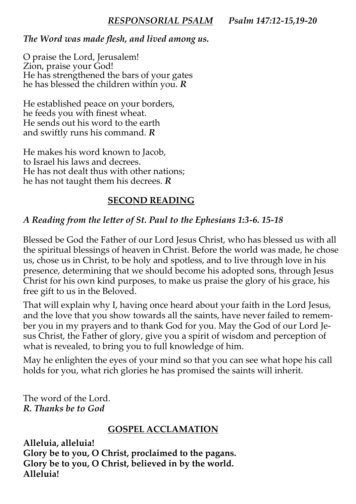#### *The Word was made flesh, and lived among us.*

O praise the Lord, Jerusalem! Zion, praise your God! He has strengthened the bars of your gates he has blessed the children within you. *R*

He established peace on your borders, he feeds you with finest wheat. He sends out his word to the earth and swiftly runs his command. *R*

He makes his word known to Jacob, to Israel his laws and decrees. He has not dealt thus with other nations; he has not taught them his decrees. *R*

#### **SECOND READING**

#### *A Reading from the letter of St. Paul to the Ephesians 1:3-6. 15-18*

Blessed be God the Father of our Lord Jesus Christ, who has blessed us with all the spiritual blessings of heaven in Christ. Before the world was made, he chose us, chose us in Christ, to be holy and spotless, and to live through love in his presence, determining that we should become his adopted sons, through Jesus Christ for his own kind purposes, to make us praise the glory of his grace, his free gift to us in the Beloved.

That will explain why I, having once heard about your faith in the Lord Jesus, and the love that you show towards all the saints, have never failed to remember you in my prayers and to thank God for you. May the God of our Lord Jesus Christ, the Father of glory, give you a spirit of wisdom and perception of what is revealed, to bring you to full knowledge of him.

May he enlighten the eyes of your mind so that you can see what hope his call holds for you, what rich glories he has promised the saints will inherit.

The word of the Lord. *R. Thanks be to God*

#### **GOSPEL ACCLAMATION**

**Alleluia, alleluia! Glory be to you, O Christ, proclaimed to the pagans. Glory be to you, O Christ, believed in by the world. Alleluia!**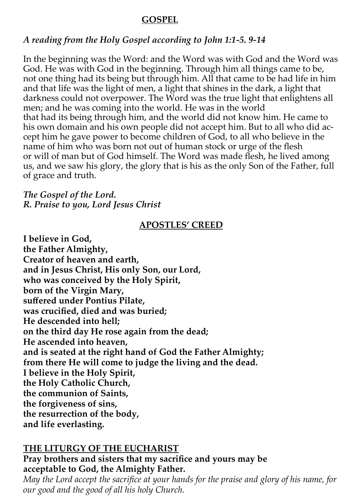#### **GOSPEL**

#### *A reading from the Holy Gospel according to John 1:1-5. 9-14*

In the beginning was the Word: and the Word was with God and the Word was God. He was with God in the beginning. Through him all things came to be, not one thing had its being but through him. All that came to be had life in him and that life was the light of men, a light that shines in the dark, a light that darkness could not overpower. The Word was the true light that enlightens all men; and he was coming into the world. He was in the world that had its being through him, and the world did not know him. He came to his own domain and his own people did not accept him. But to all who did accept him he gave power to become children of God, to all who believe in the name of him who was born not out of human stock or urge of the flesh or will of man but of God himself. The Word was made flesh, he lived among us, and we saw his glory, the glory that is his as the only Son of the Father, full of grace and truth.

*The Gospel of the Lord. R. Praise to you, Lord Jesus Christ*

#### **APOSTLES' CREED**

**I believe in God, the Father Almighty, Creator of heaven and earth, and in Jesus Christ, His only Son, our Lord, who was conceived by the Holy Spirit, born of the Virgin Mary, suffered under Pontius Pilate, was crucified, died and was buried; He descended into hell; on the third day He rose again from the dead; He ascended into heaven, and is seated at the right hand of God the Father Almighty; from there He will come to judge the living and the dead. I believe in the Holy Spirit, the Holy Catholic Church, the communion of Saints, the forgiveness of sins, the resurrection of the body, and life everlasting.** 

#### **THE LITURGY OF THE EUCHARIST**

**Pray brothers and sisters that my sacrifice and yours may be acceptable to God, the Almighty Father.**

*May the Lord accept the sacrifice at your hands for the praise and glory of his name, for our good and the good of all his holy Church.*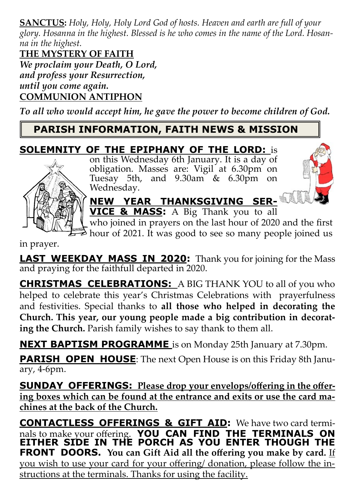**SANCTUS:** *Holy, Holy, Holy Lord God of hosts. Heaven and earth are full of your glory. Hosanna in the highest. Blessed is he who comes in the name of the Lord. Hosanna in the highest.* 

### **THE MYSTERY OF FAITH**

*We proclaim your Death, O Lord, and profess your Resurrection, until you come again.*  **COMMUNION ANTIPHON**

*To all who would accept him, he gave the power to become children of God.*

## **PARISH INFORMATION, FAITH NEWS & MISSION**

### **SOLEMNITY OF THE EPIPHANY OF THE LORD:** is



on this Wednesday 6th January. It is a day of obligation. Masses are: Vigil at 6.30pm on Tuesay 5th, and 9.30am & 6.30pm on Wednesday.

**NEW YEAR THANKSGIVING SER-**

**VICE & MASS:** A Big Thank you to all who joined in prayers on the last hour of 2020 and the first

hour of 2021. It was good to see so many people joined us

in prayer.

**LAST WEEKDAY MASS IN 2020:** Thank you for joining for the Mass and praying for the faithfull departed in 2020.

**CHRISTMAS CELEBRATIONS:** A BIG THANK YOU to all of you who helped to celebrate this year's Christmas Celebrations with prayerfulness and festivities. Special thanks to **all those who helped in decorating the Church. This year, our young people made a big contribution in decorat**ing the Church. Parish family wishes to say thank to them all.

**NEXT BAPTISM PROGRAMME** is on Monday 25th January at 7.30pm.

**PARISH OPEN HOUSE:** The next Open House is on this Friday 8th January, 4-6pm.

**SUNDAY OFFERINGS: Please drop your envelops/offering in the offering boxes which can be found at the entrance and exits or use the card machines at the back of the Church.** 

**CONTACTLESS OFFERINGS & GIFT AID:** We have two card terminals to make your offering. **YOU CAN FIND THE TERMINALS ON EITHER SIDE IN THE PORCH AS YOU ENTER THOUGH THE FRONT DOORS. You can Gift Aid all the offering you make by card.** If you wish to use your card for your offering/ donation, please follow the instructions at the terminals. Thanks for using the facility.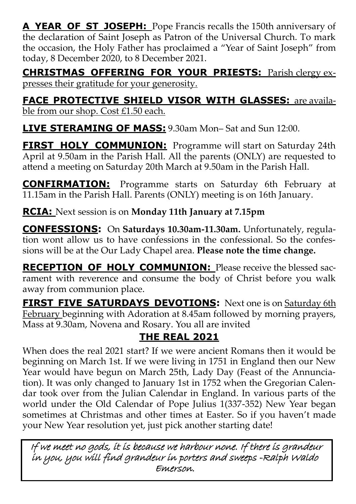**A YEAR OF ST JOSEPH:** Pope Francis recalls the 150th anniversary of the declaration of Saint Joseph as Patron of the Universal Church. To mark the occasion, the Holy Father has proclaimed a "Year of Saint Joseph" from today, 8 December 2020, to 8 December 2021.

**CHRISTMAS OFFERING FOR YOUR PRIESTS:** Parish clergy expresses their gratitude for your generosity.

**FACE PROTECTIVE SHIELD VISOR WITH GLASSES:** are available from our shop. Cost £1.50 each.

**LIVE STERAMING OF MASS:** 9.30am Mon– Sat and Sun 12:00.

**FIRST HOLY COMMUNION:** Programme will start on Saturday 24th April at 9.50am in the Parish Hall. All the parents (ONLY) are requested to attend a meeting on Saturday 20th March at 9.50am in the Parish Hall.

**CONFIRMATION:** Programme starts on Saturday 6th February at 11.15am in the Parish Hall. Parents (ONLY) meeting is on 16th January.

**RCIA:** Next session is on **Monday 11th January at 7.15pm**

**CONFESSIONS:** On **Saturdays 10.30am-11.30am.** Unfortunately, regulation wont allow us to have confessions in the confessional. So the confessions will be at the Our Lady Chapel area. **Please note the time change.**

**RECEPTION OF HOLY COMMUNION:** Please receive the blessed sacrament with reverence and consume the body of Christ before you walk away from communion place.

**FIRST FIVE SATURDAYS DEVOTIONS:** Next one is on Saturday 6th February beginning with Adoration at 8.45am followed by morning prayers, Mass at 9.30am, Novena and Rosary. You all are invited

## **THE REAL 2021**

When does the real 2021 start? If we were ancient Romans then it would be beginning on March 1st. If we were living in 1751 in England then our New Year would have begun on March 25th, Lady Day (Feast of the Annunciation). It was only changed to January 1st in 1752 when the Gregorian Calendar took over from the Julian Calendar in England. In various parts of the world under the Old Calendar of Pope Julius 1(337-352) New Year began sometimes at Christmas and other times at Easter. So if you haven't made your New Year resolution yet, just pick another starting date!

If we meet no gods, it is because we harbour none. If there is grandeur in you, you will find grandeur in porters and sweeps -Ralph Waldo Emerson.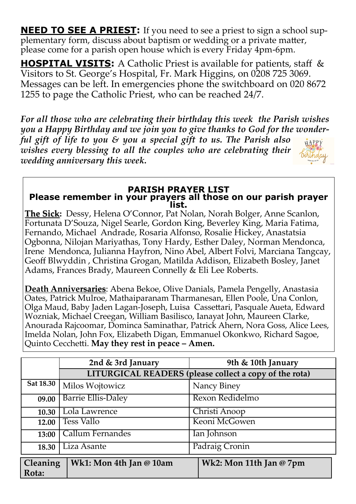**NEED TO SEE A PRIEST:** If you need to see a priest to sign a school supplementary form, discuss about baptism or wedding or a private matter, please come for a parish open house which is every Friday 4pm-6pm.

**HOSPITAL VISITS:** A Catholic Priest is available for patients, staff & Visitors to St. George's Hospital, Fr. Mark Higgins, on 0208 725 3069. Messages can be left. In emergencies phone the switchboard on 020 8672 1255 to page the Catholic Priest, who can be reached 24/7.

*For all those who are celebrating their birthday this week the Parish wishes you a Happy Birthday and we join you to give thanks to God for the wonderful gift of life to you & you a special gift to us. The Parish also*  wishes every blessing to all the couples who are celebrating their *wedding anniversary this week.*



#### **PARISH PRAYER LIST Please remember in your prayers all those on our parish prayer list.**

**The Sick:** Dessy, Helena O'Connor, Pat Nolan, Norah Bolger, Anne Scanlon, Fortunata D'Souza, Nigel Searle, Gordon King, Beverley King, Maria Fatima, Fernando, Michael Andrade, Rosaria Alfonso, Rosalie Hickey, Anastatsia Ogbonna, Nilojan Mariyathas, Tony Hardy, Esther Daley, Norman Mendonca, Irene Mendonca, Julianna Hayfron, Nino Abel, Albert Folvi, Marciana Tangcay, Geoff Blwyddin , Christina Grogan, Matilda Addison, Elizabeth Bosley, Janet Adams, Frances Brady, Maureen Connelly & Eli Lee Roberts.

**Death Anniversaries**: Abena Bekoe, Olive Danials, Pamela Pengelly, Anastasia Oates, Patrick Mulroe, Mathaiparanam Tharmanesan, Ellen Poole, Una Conlon, Olga Maud, Baby Jaden Lagan-Joseph, Luisa Cassettari, Pasquale Aueta, Edward Wozniak, Michael Creegan, William Basilisco, Ianayat John, Maureen Clarke, Anourada Rajcoomar, Dominca Saminathar, Patrick Ahern, Nora Goss, Alice Lees, Imelda Nolan, John Fox, Elizabeth Digan, Emmanuel Okonkwo, Richard Sagoe, Quinto Cecchetti. **May they rest in peace – Amen.**

|           | 2nd & 3rd January                                      | 9th & 10th January      |  |  |  |
|-----------|--------------------------------------------------------|-------------------------|--|--|--|
|           | LITURGICAL READERS (please collect a copy of the rota) |                         |  |  |  |
| Sat 18.30 | Milos Wojtowicz                                        | Nancy Biney             |  |  |  |
| 09.00     | <b>Barrie Ellis-Daley</b>                              | Rexon Redidelmo         |  |  |  |
| 10.30     | Lola Lawrence                                          | Christi Anoop           |  |  |  |
| 12.00     | <b>Tess Vallo</b>                                      | Keoni McGowen           |  |  |  |
| 13:00     | <b>Callum Fernandes</b>                                | Ian Johnson             |  |  |  |
| 18.30     | Padraig Cronin<br>Liza Asante                          |                         |  |  |  |
| Cleaning  | Wk1: Mon 4th Jan @ 10am                                | Wk2: Mon 11th Jan @ 7pm |  |  |  |
| Rota:     |                                                        |                         |  |  |  |